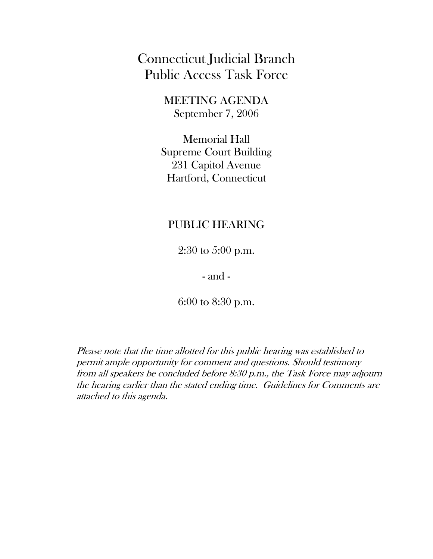Connecticut Judicial Branch Public Access Task Force

> MEETING AGENDA September 7, 2006

Memorial Hall Supreme Court Building 231 Capitol Avenue Hartford, Connecticut

## PUBLIC HEARING

2:30 to 5:00 p.m.

- and -

6:00 to 8:30 p.m.

Please note that the time allotted for this public hearing was established to permit ample opportunity for comment and questions. Should testimony from all speakers be concluded before 8:30 p.m., the Task Force may adjourn the hearing earlier than the stated ending time. Guidelines for Comments are attached to this agenda.